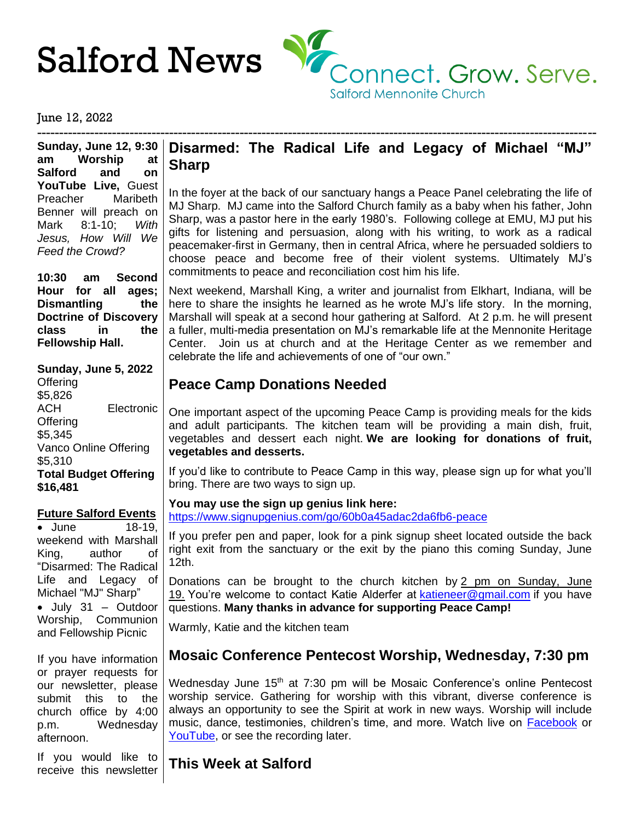

#### June 12, 2022

------------------------------------------------------------------------------------------------------------------------------- **Sunday, June 12, 9:30 am Worship at Salford and on YouTube Live,** Guest Preacher Maribeth Benner will preach on Mark 8:1-10; *With Jesus, How Will We Feed the Crowd?*

**10:30 am Second Hour for all ages; Dismantling the Doctrine of Discovery class in the Fellowship Hall.**

#### **Sunday, June 5, 2022**

**Offering** \$5,826 ACH Electronic **Offering** \$5,345 Vanco Online Offering \$5,310 **Total Budget Offering \$16,481**

#### **Future Salford Events**

• June 18-19, weekend with Marshall King, author of "Disarmed: The Radical Life and Legacy of Michael "MJ" Sharp" • July 31 – Outdoor Worship, Communion and Fellowship Picnic

If you have information or prayer requests for our newsletter, please submit this to the church office by 4:00 p.m. Wednesday afternoon.

If you would like to receive this newsletter

## **Disarmed: The Radical Life and Legacy of Michael "MJ" Sharp**

In the foyer at the back of our sanctuary hangs a Peace Panel celebrating the life of MJ Sharp. MJ came into the Salford Church family as a baby when his father, John Sharp, was a pastor here in the early 1980's. Following college at EMU, MJ put his gifts for listening and persuasion, along with his writing, to work as a radical peacemaker-first in Germany, then in central Africa, where he persuaded soldiers to choose peace and become free of their violent systems. Ultimately MJ's commitments to peace and reconciliation cost him his life.

Next weekend, Marshall King, a writer and journalist from Elkhart, Indiana, will be here to share the insights he learned as he wrote MJ's life story. In the morning, Marshall will speak at a second hour gathering at Salford. At 2 p.m. he will present a fuller, multi-media presentation on MJ's remarkable life at the Mennonite Heritage Center. Join us at church and at the Heritage Center as we remember and celebrate the life and achievements of one of "our own."

# **Peace Camp Donations Needed**

One important aspect of the upcoming Peace Camp is providing meals for the kids and adult participants. The kitchen team will be providing a main dish, fruit, vegetables and dessert each night. **We are looking for donations of fruit, vegetables and desserts.**

If you'd like to contribute to Peace Camp in this way, please sign up for what you'll bring. There are two ways to sign up.

**You may use the sign up genius link here:** <https://www.signupgenius.com/go/60b0a45adac2da6fb6-peace>

If you prefer pen and paper, look for a pink signup sheet located outside the back right exit from the sanctuary or the exit by the piano this coming Sunday, June 12th.

Donations can be brought to the church kitchen by 2 pm on Sunday, June 19. You're welcome to contact Katie Alderfer at [katieneer@gmail.com](mailto:katieneer@gmail.com) if you have questions. **Many thanks in advance for supporting Peace Camp!**

Warmly, Katie and the kitchen team

# **Mosaic Conference Pentecost Worship, Wednesday, 7:30 pm**

Wednesday June 15<sup>th</sup> at 7:30 pm will be Mosaic Conference's online Pentecost worship service. Gathering for worship with this vibrant, diverse conference is always an opportunity to see the Spirit at work in new ways. Worship will include music, dance, testimonies, children's time, and more. Watch live on [Facebook](https://www.facebook.com/MosaicMennonites/) or [YouTube,](https://www.youtube.com/channel/UCh8hFblCa8iqwfsSEz4Ir-Q) or see the recording later.

## **This Week at Salford**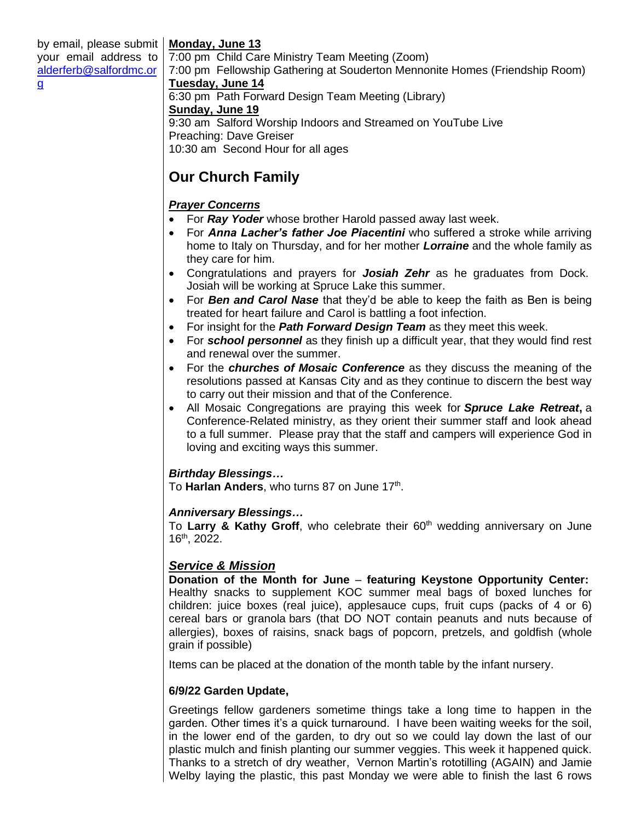## **Monday, June 13**

by email, please submit your email address to [alderferb@salfordmc.or](mailto:alderferb@salfordmc.org) [g](mailto:alderferb@salfordmc.org)

7:00 pm Child Care Ministry Team Meeting (Zoom) 7:00 pm Fellowship Gathering at Souderton Mennonite Homes (Friendship Room) **Tuesday, June 14** 6:30 pm Path Forward Design Team Meeting (Library) **Sunday, June 19** 9:30 am Salford Worship Indoors and Streamed on YouTube Live Preaching: Dave Greiser 10:30 am Second Hour for all ages

# **Our Church Family**

## *Prayer Concerns*

- For *Ray Yoder* whose brother Harold passed away last week.
- For *Anna Lacher's father Joe Piacentini* who suffered a stroke while arriving home to Italy on Thursday, and for her mother *Lorraine* and the whole family as they care for him.
- Congratulations and prayers for *Josiah Zehr* as he graduates from Dock. Josiah will be working at Spruce Lake this summer.
- For *Ben and Carol Nase* that they'd be able to keep the faith as Ben is being treated for heart failure and Carol is battling a foot infection.
- For insight for the *Path Forward Design Team* as they meet this week.
- For *school personnel* as they finish up a difficult year, that they would find rest and renewal over the summer.
- For the *churches of Mosaic Conference* as they discuss the meaning of the resolutions passed at Kansas City and as they continue to discern the best way to carry out their mission and that of the Conference.
- All Mosaic Congregations are praying this week for *Spruce Lake Retreat***,** a Conference-Related ministry, as they orient their summer staff and look ahead to a full summer. Please pray that the staff and campers will experience God in loving and exciting ways this summer.

### *Birthday Blessings…*

To Harlan Anders, who turns 87 on June 17<sup>th</sup>.

### *Anniversary Blessings…*

To Larry & Kathy Groff, who celebrate their 60<sup>th</sup> wedding anniversary on June 16th, 2022.

### *Service & Mission*

**Donation of the Month for June** – **featuring Keystone Opportunity Center:** Healthy snacks to supplement KOC summer meal bags of boxed lunches for children: juice boxes (real juice), applesauce cups, fruit cups (packs of 4 or 6) cereal bars or granola bars (that DO NOT contain peanuts and nuts because of allergies), boxes of raisins, snack bags of popcorn, pretzels, and goldfish (whole grain if possible)

Items can be placed at the donation of the month table by the infant nursery.

### **6/9/22 Garden Update,**

Greetings fellow gardeners sometime things take a long time to happen in the garden. Other times it's a quick turnaround. I have been waiting weeks for the soil, in the lower end of the garden, to dry out so we could lay down the last of our plastic mulch and finish planting our summer veggies. This week it happened quick. Thanks to a stretch of dry weather, Vernon Martin's rototilling (AGAIN) and Jamie Welby laying the plastic, this past Monday we were able to finish the last 6 rows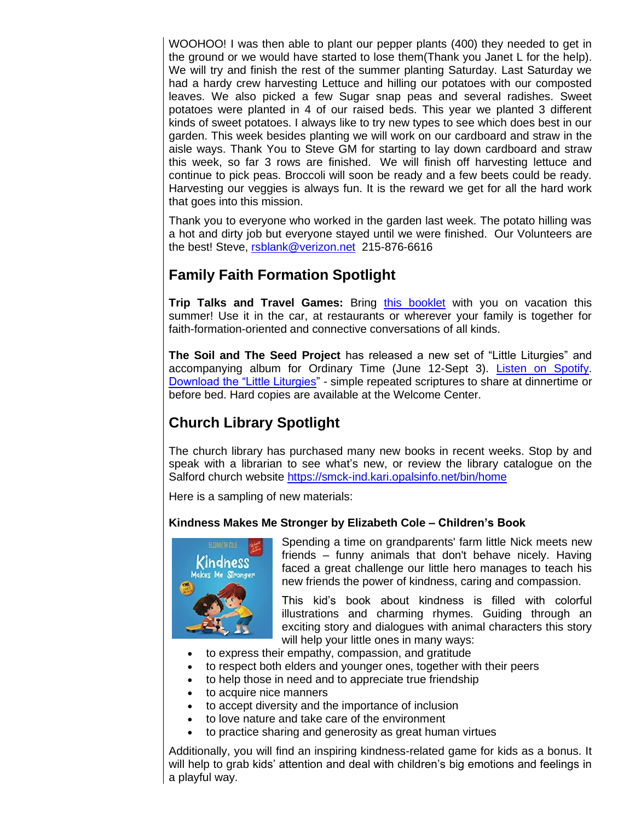WOOHOO! I was then able to plant our pepper plants (400) they needed to get in the ground or we would have started to lose them(Thank you Janet L for the help). We will try and finish the rest of the summer planting Saturday. Last Saturday we had a hardy crew harvesting Lettuce and hilling our potatoes with our composted leaves. We also picked a few Sugar snap peas and several radishes. Sweet potatoes were planted in 4 of our raised beds. This year we planted 3 different kinds of sweet potatoes. I always like to try new types to see which does best in our garden. This week besides planting we will work on our cardboard and straw in the aisle ways. Thank You to Steve GM for starting to lay down cardboard and straw this week, so far 3 rows are finished. We will finish off harvesting lettuce and continue to pick peas. Broccoli will soon be ready and a few beets could be ready. Harvesting our veggies is always fun. It is the reward we get for all the hard work that goes into this mission.

Thank you to everyone who worked in the garden last week. The potato hilling was a hot and dirty job but everyone stayed until we were finished. Our Volunteers are the best! Steve, [rsblank@verizon.net](mailto:rsblank@verizon.net) 215-876-6616

# **Family Faith Formation Spotlight**

**Trip Talks and Travel Games:** Bring [this booklet](http://www.salfordmc.org/uploads/3/9/9/0/39904787/june_2022_trip_booklet.pdf) with you on vacation this summer! Use it in the car, at restaurants or wherever your family is together for faith-formation-oriented and connective conversations of all kinds.

**The Soil and The Seed Project** has released a new set of "Little Liturgies" and accompanying album for Ordinary Time (June 12-Sept 3). [Listen on Spotify.](https://open.spotify.com/album/5PlXWiKLneuy8DU7ACfzAs?si=0VoIktOwS6m3Z5jkS6ozMA) [Download the "Little Liturgies"](https://www.thesoilandtheseedproject.org/) - simple repeated scriptures to share at dinnertime or before bed. Hard copies are available at the Welcome Center.

# **Church Library Spotlight**

The church library has purchased many new books in recent weeks. Stop by and speak with a librarian to see what's new, or review the library catalogue on the Salford church website<https://smck-ind.kari.opalsinfo.net/bin/home>

Here is a sampling of new materials:

### **Kindness Makes Me Stronger by Elizabeth Cole – Children's Book**



Spending a time on grandparents' farm little Nick meets new friends – funny animals that don't behave nicely. Having faced a great challenge our little hero manages to teach his new friends the power of kindness, caring and compassion.

This kid's book about kindness is filled with colorful illustrations and charming rhymes. Guiding through an exciting story and dialogues with animal characters this story will help your little ones in many ways:

- to express their empathy, compassion, and gratitude
- to respect both elders and younger ones, together with their peers
- to help those in need and to appreciate true friendship
- to acquire nice manners
- to accept diversity and the importance of inclusion
- to love nature and take care of the environment
- to practice sharing and generosity as great human virtues

Additionally, you will find an inspiring kindness-related game for kids as a bonus. It will help to grab kids' attention and deal with children's big emotions and feelings in a playful way.